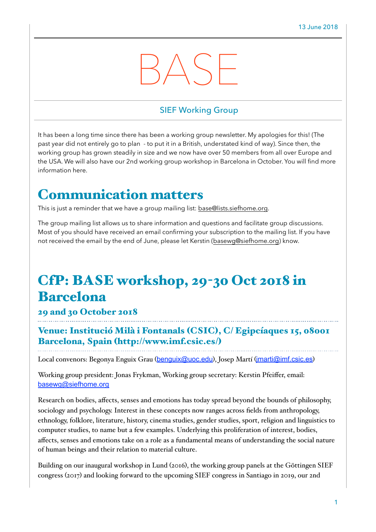# BASE

#### SIEF Working Group

It has been a long time since there has been a working group newsletter. My apologies for this! (The past year did not entirely go to plan - to put it in a British, understated kind of way). Since then, the working group has grown steadily in size and we now have over 50 members from all over Europe and the USA. We will also have our 2nd working group workshop in Barcelona in October. You will find more information here.

## Communication matters

This is just a reminder that we have a group mailing list: [base@lists.siefhome.org.](mailto:base@lists.siefhome.org)

The group mailing list allows us to share information and questions and facilitate group discussions. Most of you should have received an email confirming your subscription to the mailing list. If you have not received the email by the end of June, please let Kerstin [\(basewg@siefhome.org\)](mailto:basewg@siefhome.org) know.

# CfP: BASE workshop, 29-30 Oct 2018 in Barcelona

#### 29 and 30 October 2018

Venue: Institució Milà i Fontanals (CSIC), C/ Egipcíaques 15, 08001 Barcelona, Spain (<http://www.imf.csic.es/>)

Local convenors: Begonya Enguix Grau ([benguix@uoc.edu](mailto:benguix@uoc.edu)), Josep Martí ([jmarti@imf.csic.es](mailto:jmarti@imf.csic.es))

Working group president: Jonas Frykman, Working group secretary: Kerstin Pfeiffer, email: [basewg@siefhome.org](mailto:basewg@siefhome.org)

Research on bodies, affects, senses and emotions has today spread beyond the bounds of philosophy, sociology and psychology. Interest in these concepts now ranges across fields from anthropology, ethnology, folklore, literature, history, cinema studies, gender studies, sport, religion and linguistics to computer studies, to name but a few examples. Underlying this proliferation of interest, bodies, affects, senses and emotions take on a role as a fundamental means of understanding the social nature of human beings and their relation to material culture.

Building on our inaugural workshop in Lund (2016), the working group panels at the Göttingen SIEF congress (2017) and looking forward to the upcoming SIEF congress in Santiago in 2019, our 2nd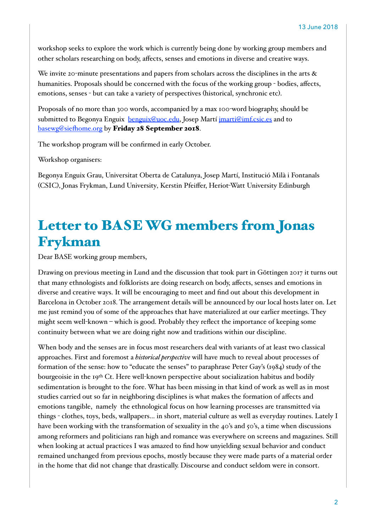workshop seeks to explore the work which is currently being done by working group members and other scholars researching on body, affects, senses and emotions in diverse and creative ways.

We invite 20-minute presentations and papers from scholars across the disciplines in the arts  $\&$ humanities. Proposals should be concerned with the focus of the working group - bodies, affects, emotions, senses - but can take a variety of perspectives (historical, synchronic etc).

Proposals of no more than 300 words, accompanied by a max 100-word biography, should be submitted to Begonya Enguix [benguix@uoc.edu,](mailto:benguix@uoc.edu) Josep Martí [jmarti@imf.csic.es](mailto:jmarti@imf.csic.es) and to [basewg@sie](mailto:basewg@siefhome.org)fhome.org by Friday 28 September 2018.

The workshop program will be confirmed in early October.

Workshop organisers:

Begonya Enguix Grau, Universitat Oberta de Catalunya, Josep Martí, Institució Milà i Fontanals (CSIC), Jonas Frykman, Lund University, Kerstin Pfeiffer, Heriot-Watt University Edinburgh

## Letter to BASE WG members from Jonas Frykman

Dear BASE working group members,

Drawing on previous meeting in Lund and the discussion that took part in Göttingen 2017 it turns out that many ethnologists and folklorists are doing research on body, affects, senses and emotions in diverse and creative ways. It will be encouraging to meet and find out about this development in Barcelona in October 2018. The arrangement details will be announced by our local hosts later on. Let me just remind you of some of the approaches that have materialized at our earlier meetings. They might seem well-known – which is good. Probably they reflect the importance of keeping some continuity between what we are doing right now and traditions within our discipline.

When body and the senses are in focus most researchers deal with variants of at least two classical approaches. First and foremost a *historical perspective* will have much to reveal about processes of formation of the sense: how to "educate the senses" to paraphrase Peter Gay's (1984) study of the bourgeoisie in the 19th Ct. Here well-known perspective about socialization habitus and bodily sedimentation is brought to the fore. What has been missing in that kind of work as well as in most studies carried out so far in neighboring disciplines is what makes the formation of affects and emotions tangible, namely the ethnological focus on how learning processes are transmitted via things - clothes, toys, beds, wallpapers… in short, material culture as well as everyday routines. Lately I have been working with the transformation of sexuality in the 40's and 50's, a time when discussions among reformers and politicians ran high and romance was everywhere on screens and magazines. Still when looking at actual practices I was amazed to find how unyielding sexual behavior and conduct remained unchanged from previous epochs, mostly because they were made parts of a material order in the home that did not change that drastically. Discourse and conduct seldom were in consort.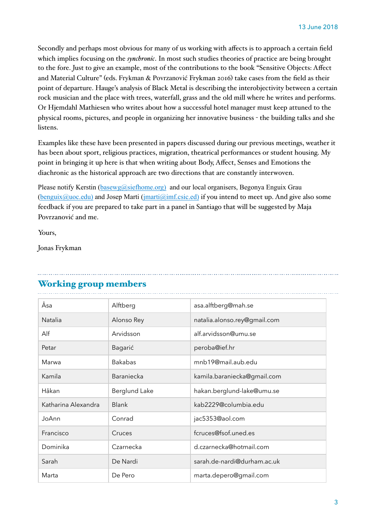Secondly and perhaps most obvious for many of us working with affects is to approach a certain field which implies focusing on the *synchronic*. In most such studies theories of practice are being brought to the fore. Just to give an example, most of the contributions to the book "Sensitive Objects: Affect and Material Culture" (eds. Frykman & Povrzanović Frykman 2016) take cases from the field as their point of departure. Hauge's analysis of Black Metal is describing the interobjectivity between a certain rock musician and the place with trees, waterfall, grass and the old mill where he writes and performs. Or Hjemdahl Mathiesen who writes about how a successful hotel manager must keep attuned to the physical rooms, pictures, and people in organizing her innovative business - the building talks and she listens.

Examples like these have been presented in papers discussed during our previous meetings, weather it has been about sport, religious practices, migration, theatrical performances or student housing. My point in bringing it up here is that when writing about Body, Affect, Senses and Emotions the diachronic as the historical approach are two directions that are constantly interwoven.

Please notify Kerstin ([basewg@siefhome.org\)](mailto:basewg@siefhome.org)) and our local organisers, Begonya Enguix Grau  $(benguix@uoc.edu)$  $(benguix@uoc.edu)$  and Josep Marti  $(jmarti@imf.csic.edu)$  if you intend to meet up. And give also some feedback if you are prepared to take part in a panel in Santiago that will be suggested by Maja Povrzanović and me.

Yours,

Jonas Frykman

#### Working group members

| Åsa                 | Alftberg       | asa.alftberg@mah.se          |
|---------------------|----------------|------------------------------|
| Natalia             | Alonso Rey     | natalia.alonso.rey@gmail.com |
| Alf                 | Arvidsson      | alf.arvidsson@umu.se         |
| Petar               | Bagarić        | peroba@ief.hr                |
| Marwa               | <b>Bakabas</b> | mnb19@mail.aub.edu           |
| Kamila              | Baraniecka     | kamila.baraniecka@gmail.com  |
| Håkan               | Berglund Lake  | hakan.berglund-lake@umu.se   |
| Katharina Alexandra | <b>Blank</b>   | kab2229@columbia.edu         |
| JoAnn               | Conrad         | jac5353@aol.com              |
| Francisco           | Cruces         | fcruces@fsof.uned.es         |
| Dominika            | Czarnecka      | d.czarnecka@hotmail.com      |
| Sarah               | De Nardi       | sarah.de-nardi@durham.ac.uk  |
| Marta               | De Pero        | marta.depero@gmail.com       |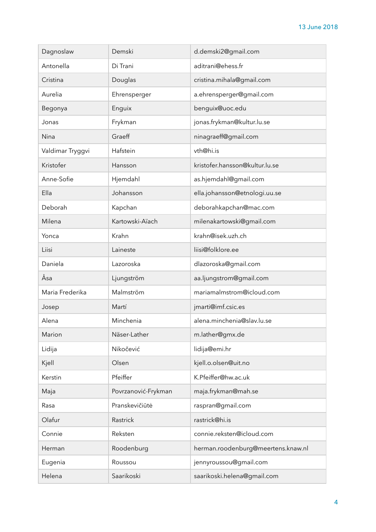| Dagnoslaw        | Demski              | d.demski2@gmail.com                |
|------------------|---------------------|------------------------------------|
| Antonella        | Di Trani            | aditrani@ehess.fr                  |
| Cristina         | Douglas             | cristina.mihala@gmail.com          |
| Aurelia          | Ehrensperger        | a.ehrensperger@gmail.com           |
| Begonya          | Enguix              | benguix@uoc.edu                    |
| Jonas            | Frykman             | jonas.frykman@kultur.lu.se         |
| Nina             | Graeff              | ninagraeff@gmail.com               |
| Valdimar Tryggvi | Hafstein            | vth@hi.is                          |
| Kristofer        | Hansson             | kristofer.hansson@kultur.lu.se     |
| Anne-Sofie       | Hjemdahl            | as.hjemdahl@gmail.com              |
| Ella             | Johansson           | ella.johansson@etnologi.uu.se      |
| Deborah          | Kapchan             | deborahkapchan@mac.com             |
| Milena           | Kartowski-Aïach     | milenakartowski@gmail.com          |
| Yonca            | Krahn               | krahn@isek.uzh.ch                  |
| Liisi            | Laineste            | liisi@folklore.ee                  |
| Daniela          | Lazoroska           | dlazoroska@gmail.com               |
| Åsa              | Ljungström          | aa.ljungstrom@gmail.com            |
| Maria Frederika  | Malmström           | mariamalmstrom@icloud.com          |
| Josep            | Martí               | jmarti@imf.csic.es                 |
| Alena            | Minchenia           | alena.minchenia@slav.lu.se         |
| Marion           | Näser-Lather        | m.lather@gmx.de                    |
| Lidija           | Nikočević           | lidija@emi.hr                      |
| Kjell            | Olsen               | kjell.o.olsen@uit.no               |
| Kerstin          | Pfeiffer            | K.Pfeiffer@hw.ac.uk                |
| Maja             | Povrzanović-Frykman | maja.frykman@mah.se                |
| Rasa             | Pranskevičiūtė      | raspran@gmail.com                  |
| Olafur           | Rastrick            | rastrick@hi.is                     |
| Connie           | Reksten             | connie.reksten@icloud.com          |
| Herman           | Roodenburg          | herman.roodenburg@meertens.knaw.nl |
| Eugenia          | Roussou             | jennyroussou@gmail.com             |
| Helena           | Saarikoski          | saarikoski.helena@gmail.com        |